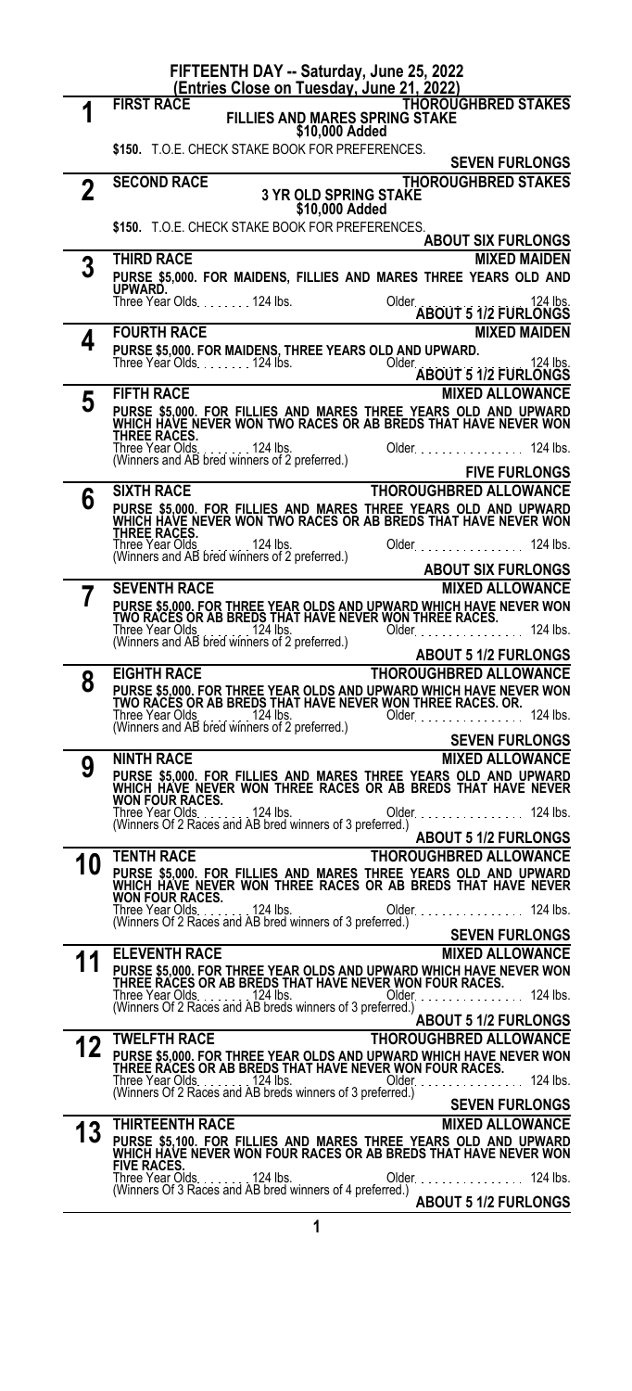| FIFTEENTH DAY -- Saturday, June 25, 2022<br>(Entries Close on Tuesday, June 21, 2022) |                                                                                                                                                                              |  |  |
|---------------------------------------------------------------------------------------|------------------------------------------------------------------------------------------------------------------------------------------------------------------------------|--|--|
|                                                                                       | <b>FIRST RACE</b><br>THOROUGHBRED STAKES<br><b>FILLIES AND MARES SPRING STAKE</b>                                                                                            |  |  |
|                                                                                       | \$10,000 Added                                                                                                                                                               |  |  |
|                                                                                       | \$150. T.O.E. CHECK STAKE BOOK FOR PREFERENCES.<br><b>SEVEN FURLONGS</b>                                                                                                     |  |  |
| 2                                                                                     | <b>THOROUGHBRED STAKES</b><br><b>SECOND RACE</b><br><b>3 YR OLD SPRING STAKE</b>                                                                                             |  |  |
|                                                                                       | \$10,000 Added                                                                                                                                                               |  |  |
|                                                                                       | \$150. T.O.E. CHECK STAKE BOOK FOR PREFERENCES.<br><b>ABOUT SIX FURLONGS</b>                                                                                                 |  |  |
| 3                                                                                     | THIRD RACE<br><b>MIXED MAIDEN</b>                                                                                                                                            |  |  |
|                                                                                       | PURSE \$5,000. FOR MAIDENS, FILLIES AND MARES THREE YEARS OLD AND<br>UPWARD.                                                                                                 |  |  |
|                                                                                       | Three Year Olds. 124 lbs.<br>Older.<br>124 lbs.<br>ABOUT 5 1/2 FURLONGS                                                                                                      |  |  |
| 4                                                                                     | <b>MIXED MAIDEN</b><br><b>FOURTH RACE</b>                                                                                                                                    |  |  |
|                                                                                       | PURSE \$5,000. FOR MAIDENS, THREE YEARS OLD AND UPWARD.<br>Three Year Olds. 124 lbs. (2008) Older.<br>124 lbs.<br><b>ABOUT 5 1/2 FURLONGS</b>                                |  |  |
| 5                                                                                     | <b>FIFTH RACE</b><br><b>MIXED ALLOWANCE</b>                                                                                                                                  |  |  |
|                                                                                       | PURSE \$5,000. FOR FILLIES AND MARES THREE YEARS OLD AND UPWARD<br>WHICH HAVE NEVER WON TWO RACES OR AB BREDS THAT HAVE NEVER WON                                            |  |  |
|                                                                                       | <b>THREE RACES.</b><br>Three Year Olds<br>$\ldots$ , $\ldots$ 124 lbs.<br>124 lbs.<br>$Older.$                                                                               |  |  |
|                                                                                       | Timee Tear Olds. The Talk 124 lbs.<br>(Winners and AB bred winners of 2 preferred.)<br><b>FIVE FURLONGS</b>                                                                  |  |  |
| 6                                                                                     | <b>THOROUGHBRED ALLOWANCE</b><br><b>SIXTH RACE</b>                                                                                                                           |  |  |
|                                                                                       | PURSE \$5,000. FOR FILLIES AND MARES THREE YEARS OLD AND UPWARD<br>WHICH HAVE NEVER WON TWO RACES OR AB BREDS THAT HAVE NEVER WON                                            |  |  |
|                                                                                       | THREE RACES.<br>Three Year Olds<br>$\ldots$ 124 lbs.<br>Older.<br>124 lbs.<br>Three Year Olds. 124 lbs.<br>(Winners and AB bred winners of 2 preferred.)                     |  |  |
|                                                                                       | <b>ABOUT SIX FURLONGS</b>                                                                                                                                                    |  |  |
|                                                                                       | <b>SEVENTH RACE</b><br><b>MIXED ALLOWANCE</b>                                                                                                                                |  |  |
|                                                                                       | PURSE \$5,000. FOR THREE YEAR OLDS AND UPWARD WHICH HAVE NEVER WON<br>TWO RACES OR AB BREDS THAT HAVE NEVER WON THREE RACES.<br>Three Year Olds. 124 lbs.<br>Older. 124 lbs. |  |  |
|                                                                                       | (Winners and AB bred winners of 2 preferred.)<br><b>ABOUT 5 1/2 FURLONGS</b>                                                                                                 |  |  |
| 8                                                                                     | <b>EIGHTH RACE</b><br><b>THOROUGHBRED ALLOWANCE</b>                                                                                                                          |  |  |
|                                                                                       | PURSE \$5,000. FOR THREE YEAR OLDS AND UPWARD WHICH HAVE NEVER WON<br>TWO RACES OR AB BREDS THAT HAVE NEVER WON THREE RACES. OR.                                             |  |  |
|                                                                                       | Three Year Olds. 124 lbs.<br>(Winners and AB bred winners of 2 preferred.)<br>Older.<br>124 lbs.<br><b>SEVEN FURLONGS</b>                                                    |  |  |
| 9                                                                                     | <b>NINTH RACE</b><br><b>MIXED ALLOWANCE</b>                                                                                                                                  |  |  |
|                                                                                       | PURSE \$5,000. FOR FILLIES AND MARES THREE YEARS OLD AND UPWARD WHICH HAVE NEVER WON THREE RACES OR AB BREDS THAT HAVE NEVER WON FOUR RACES.                                 |  |  |
|                                                                                       | 124 lbs.<br>Older. 124 lbs.<br>Three Year Olds.                                                                                                                              |  |  |
|                                                                                       | (Winners Of 2 Races and AB bred winners of 3 preferred.)<br><b>ABOUT 5 1/2 FURLONGS</b>                                                                                      |  |  |
| 10                                                                                    | <b>TENTH RACE</b><br><b>THOROUGHBRED ALLOWANCE</b>                                                                                                                           |  |  |
|                                                                                       | PURSE \$5,000. FOR FILLIES AND MARES THREE YEARS OLD AND UPWARD<br>WHICH HAVE NEVER WON THREE RACES OR AB BREDS THAT HAVE NEVER<br><b>WON FOUR RACES.</b>                    |  |  |
|                                                                                       | 124 lbs.<br>$124$ lbs.<br>Three Year Olds.<br>Older <b>Communister</b><br>(Winners Of 2 Races and AB bred winners of 3 preferred.)                                           |  |  |
|                                                                                       | <b>SEVEN FURLONGS</b>                                                                                                                                                        |  |  |
|                                                                                       | <b>ELEVENTH RACE</b><br><b>MIXED ALLOWANCE</b>                                                                                                                               |  |  |
|                                                                                       | PURSE \$5,000. FOR THREE YEAR OLDS AND UPWARD WHICH HAVE NEVER WON                                                                                                           |  |  |
|                                                                                       | THREE RACES OR AB BREDS THAT HAVE NEVER WON FOUR RACES.<br>Three Year Olds 124 lbs.<br>124 lbs.<br>Older                                                                     |  |  |
|                                                                                       | (Winners Of 2 Races and AB breds winners of 3 preferred.)<br><b>ABOUT 5 1/2 FURLONGS</b>                                                                                     |  |  |
| 12                                                                                    | TWELFTH RACE<br>THOROUGHBRED ALLOWANCE                                                                                                                                       |  |  |
|                                                                                       | PURSE \$5,000. FOR THREE YEAR OLDS AND UPWARD WHICH HAVE NEVER WON<br>THREE RACES OR AB BREDS THAT HAVE NEVER WON FOUR RACES.                                                |  |  |
|                                                                                       | $124$ lbs.<br>Three Year Olds.<br>124 lbs.<br>$Older_{1}$ .<br>(Winners Of 2 Races and AB breds winners of 3 preferred.)                                                     |  |  |
|                                                                                       | <b>SEVEN FURLONGS</b><br>THIRTEENTH RACE<br><b>MIXED ALLOWANCE</b>                                                                                                           |  |  |
| 13                                                                                    | PURSE \$5,100. FOR FILLIES AND MARES THREE YEARS OLD AND UPWARD<br>WHICH HAVE NEVER WON FOUR RACES OR AB BREDS THAT HAVE NEVER WON                                           |  |  |
|                                                                                       | <b>FIVE RACES.</b><br>124 lbs.<br>124 lbs.<br>Three Year Olds<br>Older. $\ldots$<br>(Winners Of 3 Races and AB bred winners of 4 preferred.)                                 |  |  |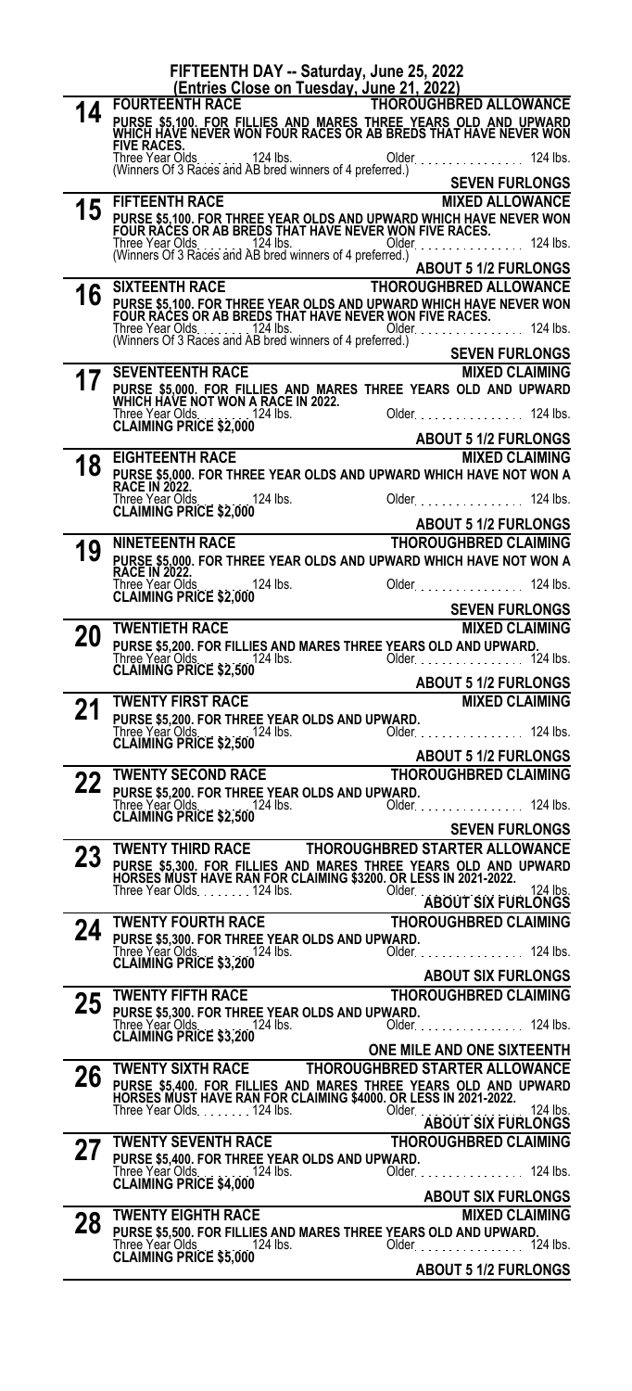|          | FIFTEENTH DAY -- Saturday, June 25, 2022                                                                                              |                                                           |
|----------|---------------------------------------------------------------------------------------------------------------------------------------|-----------------------------------------------------------|
|          | (Entries Close on Tuesday, June 21, 2022)<br><b>FOURTEENTH RACE</b>                                                                   | <b>THOROUGHBRED ALLOWANCE</b>                             |
| 14       | PURSE \$5,100. FOR FILLIES AND MARES THREE YEARS OLD AND UPWARD<br>WHICH HAVE NEVER WON FOUR RACES OR AB BREDS THAT HAVE NEVER WON    |                                                           |
|          | <b>FIVE RACES.</b>                                                                                                                    |                                                           |
|          |                                                                                                                                       | Older.<br>$124$ lbs.                                      |
|          |                                                                                                                                       | <b>SEVEN FURLONGS</b>                                     |
| 15       | <b>FIFTEENTH RACE</b>                                                                                                                 | <b>MIXED ALLOWANCE</b>                                    |
|          | PURSE \$5,100. FOR THREE YEAR OLDS AND UPWARD WHICH HAVE NEVER WON<br>FOUR RACES OR AB BREDS THAT HAVE NEVER WON FIVE RACES.          |                                                           |
|          |                                                                                                                                       | Older<br>$124$ lbs.                                       |
|          |                                                                                                                                       | <b>ABOUT 5 1/2 FURLONGS</b>                               |
|          | <b>SIXTEENTH RACE</b>                                                                                                                 | <b>THOROUGHBRED ALLOWANCE</b>                             |
| 16       | PURSE \$5,100. FOR THREE YEAR OLDS AND UPWARD WHICH HAVE NEVER WON<br>FOUR RACES OR AB BREDS THAT HAVE NEVER WON FIVE RACES.          |                                                           |
|          |                                                                                                                                       | Older.<br>$124$ lbs.                                      |
|          |                                                                                                                                       | <b>SEVEN FURLONGS</b>                                     |
| 17       | <b>SEVENTEENTH RACE</b>                                                                                                               | <b>MIXED CLAIMING</b>                                     |
|          | PURSE \$5,000. FOR FILLIES AND MARES THREE YEARS OLD AND UPWARD<br>WHICH HAVE NOT WON A RACE IN 2022.                                 |                                                           |
|          |                                                                                                                                       | 124 lbs.<br>Older.                                        |
|          |                                                                                                                                       | <b>ABOUT 5 1/2 FURLONGS</b>                               |
|          | <b>EIGHTEENTH RACE</b>                                                                                                                | <b>MIXED CLAIMING</b>                                     |
| 18       | PURSE \$5,000. FOR THREE YEAR OLDS AND UPWARD WHICH HAVE NOT WON A<br>RACE IN 2022.                                                   |                                                           |
|          | Three Year Olds.<br>124 lbs.                                                                                                          | Older.<br>$124$ lbs.                                      |
|          | Three Year Olds<br>CLAIMING PRICE \$2,000                                                                                             | <b>ABOUT 5 1/2 FURLONGS</b>                               |
|          | <b>NINETEENTH RACE</b>                                                                                                                | <b>THOROUGHBRED CLAIMING</b>                              |
| 19       | PURSE \$5,000. FOR THREE YEAR OLDS AND UPWARD WHICH HAVE NOT WON A RACE IN 2022.                                                      |                                                           |
|          | Three Year Olds<br>124 lbs.                                                                                                           | Older.<br>124 lbs.                                        |
|          | <b>CLAIMING PRICE \$2,000</b>                                                                                                         | <b>SEVEN FURLONGS</b>                                     |
| 20       | <b>TWENTIETH RACE</b>                                                                                                                 | <b>MIXED CLAIMING</b>                                     |
|          | PURSE \$5,200. FOR FILLIES AND MARES THREE YEARS OLD AND UPWARD.                                                                      | Older. 124 lbs.                                           |
|          |                                                                                                                                       |                                                           |
|          |                                                                                                                                       |                                                           |
|          |                                                                                                                                       | <b>ABOUT 5 1/2 FURLONGS</b>                               |
| 21       | <b>TWENTY FIRST RACE</b>                                                                                                              | <b>MIXED CLAIMING</b>                                     |
|          | PURSE \$5,200. FOR THREE YEAR OLDS AND UPWARD.<br>124 lbs.                                                                            | $124$ lbs.<br>Older.                                      |
|          | Three Year Olds<br>CLAIMING PRICE \$2,500                                                                                             | <b>ABOUT 5 1/2 FURLONGS</b>                               |
|          | <b>TWENTY SECOND RACE</b>                                                                                                             | <b>THOROUGHBRED CLAIMING</b>                              |
| 22       | PURSE \$5,200. FOR THREE YEAR OLDS AND UPWARD.                                                                                        |                                                           |
|          | Three Year Olds.<br>CLAIMING PRICE \$2,500                                                                                            | Older. 124 lbs.                                           |
|          |                                                                                                                                       | <b>SEVEN FURLONGS</b>                                     |
| nn<br>23 | <b>TWENTY THIRD RACE</b>                                                                                                              | <b>THOROUGHBRED STARTER ALLOWANCE</b>                     |
|          | PURSE \$5,300. FOR FILLIES AND MARES THREE YEARS OLD AND UPWARD<br>HORSES MUST HAVE RAN FOR CLAIMING \$3200. OR LESS IN 2021-2022.    |                                                           |
|          | Three Year Olds. 124 lbs.                                                                                                             | Older<br>124 lbs.<br><b>ABOUT SIX FURLONGS</b>            |
|          | <b>TWENTY FOURTH RACE</b>                                                                                                             | THOROUGHBRED CLAIMING                                     |
| 24       | PURSE \$5,300. FOR THREE YEAR OLDS AND UPWARD.                                                                                        |                                                           |
|          | Three Year Olds<br>. 124 lbs. .<br><b>CLAIMING PRICE \$3,200</b>                                                                      | $124$ lbs.                                                |
|          |                                                                                                                                       | <b>ABOUT SIX FURLONGS</b>                                 |
| 25       | <b>TWENTY FIFTH RACE</b><br>PURSE \$5,300. FOR THREE YEAR OLDS AND UPWARD.                                                            | <b>THOROUGHBRED CLAIMING</b>                              |
|          |                                                                                                                                       | Older 124 lbs.                                            |
|          | Three Year Olds. 124 lbs.<br>CLAIMING PRICE \$3,200                                                                                   | ONE MILE AND ONE SIXTEENTH                                |
|          | TWENTY SIXTH RACE                                                                                                                     | THOROUGHBRED STARTER ALLOWANCE                            |
| 26       | PURSE \$5,400. FOR FILLIES AND MARES THREE YEARS OLD AND UPWARD<br>HORSES MUST HAVE RAN FOR CLAIMING \$4000. OR LESS IN 2021-2022.    |                                                           |
|          | Three Year Olds124 lbs.                                                                                                               | Older<br>124 lbs.                                         |
|          | <b>TWENTY SEVENTH RACE</b>                                                                                                            | <b>ABOUT SIX FURLONGS</b><br><b>THOROUGHBRED CLAIMING</b> |
| 27       | PURSE \$5,400. FOR THREE YEAR OLDS AND UPWARD.                                                                                        |                                                           |
|          | Three Year Olds<br>$\ldots$ . 124 lbs.<br><b>CLAIMING PRICE \$4,000</b>                                                               | $124$ lbs.<br>Older.                                      |
|          |                                                                                                                                       | <b>ABOUT SIX FURLONGS</b>                                 |
| 28       | <b>TWENTY EIGHTH RACE</b>                                                                                                             | <b>MIXED CLAIMING</b>                                     |
|          | PURSE \$5,500. FOR FILLIES AND MARES THREE YEARS OLD AND UPWARD.<br>Three Year Olds.<br>. . 124 lbs.<br><b>CLAIMING PRICE \$5,000</b> | Older. 124 lbs.                                           |